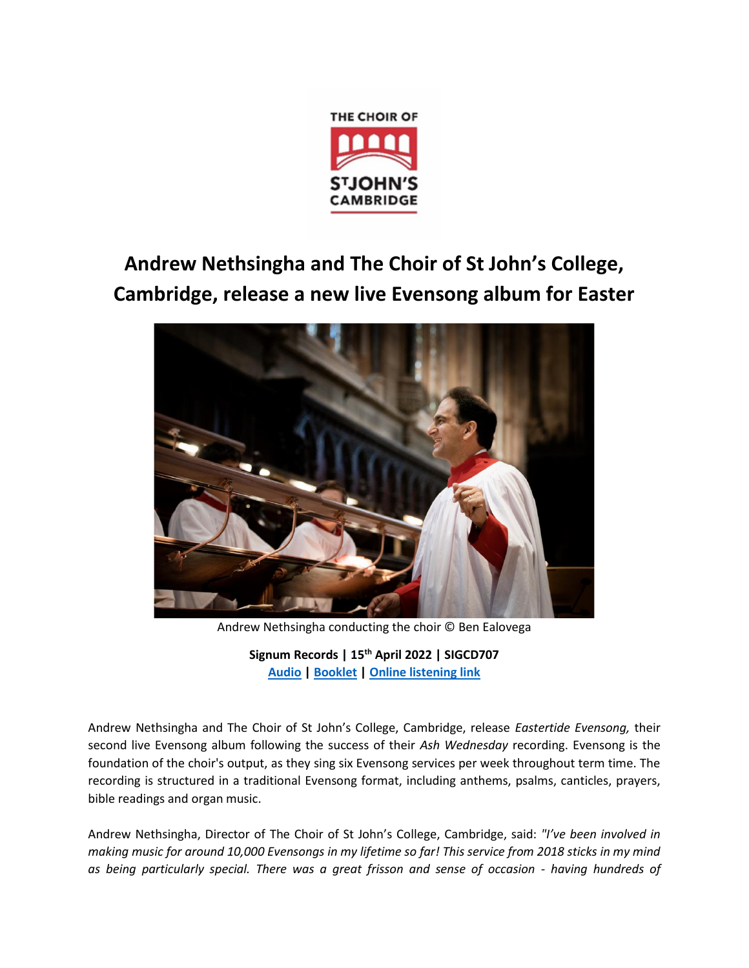

# **Andrew Nethsingha and The Choir of St John's College, Cambridge, release a new live Evensong album for Easter**



Andrew Nethsingha conducting the choir © Ben Ealovega

**Signum Records | 15th April 2022 | SIGCD707 [Audio](https://drive.google.com/drive/folders/192AWjTzv9VEpyaa2i-Xmd6ADDlG9XKlM) [| Booklet](https://www.dropbox.com/s/x5jm0jg04ab2hw3/SIGCD707%20Booklet.pdf?dl=0) | [Online listening link](https://promo.theorchard.com/2dDrUyaeN5FaDsyMppFI)**

Andrew Nethsingha and The Choir of St John's College, Cambridge, release *Eastertide Evensong,* their second live Evensong album following the success of their *Ash Wednesday* recording. Evensong is the foundation of the choir's output, as they sing six Evensong services per week throughout term time. The recording is structured in a traditional Evensong format, including anthems, psalms, canticles, prayers, bible readings and organ music.

Andrew Nethsingha, Director of The Choir of St John's College, Cambridge, said: *"I've been involved in making music for around 10,000 Evensongs in my lifetime so far! This service from 2018 sticks in my mind as being particularly special. There was a great frisson and sense of occasion - having hundreds of*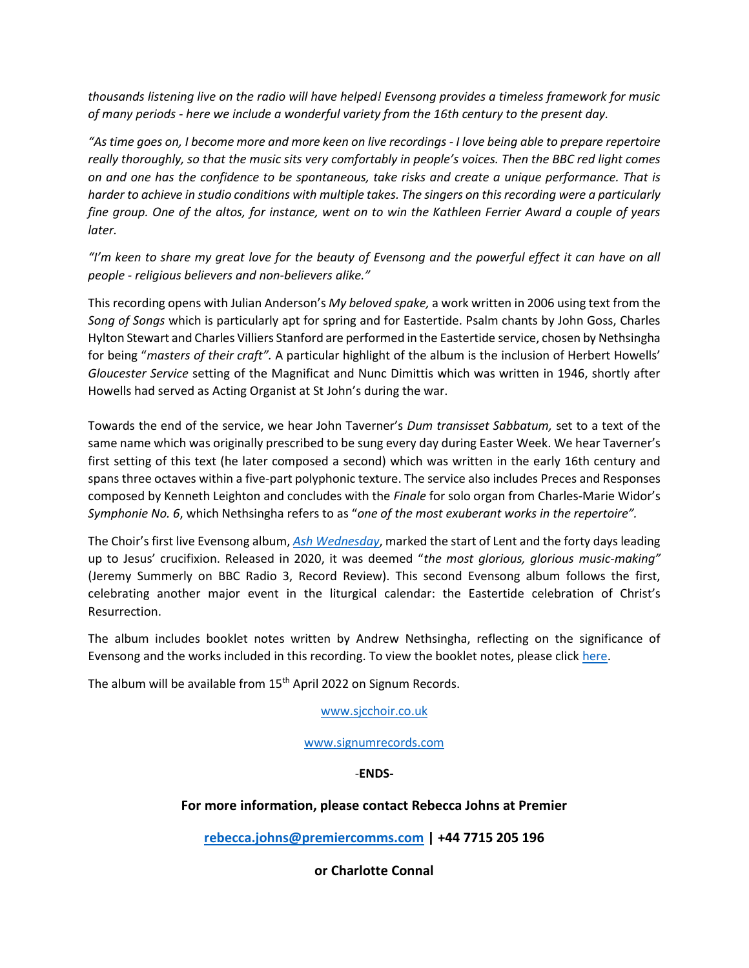*thousands listening live on the radio will have helped! Evensong provides a timeless framework for music of many periods - here we include a wonderful variety from the 16th century to the present day.* 

*"As time goes on, I become more and more keen on live recordings - I love being able to prepare repertoire really thoroughly, so that the music sits very comfortably in people's voices. Then the BBC red light comes on and one has the confidence to be spontaneous, take risks and create a unique performance. That is harder to achieve in studio conditions with multiple takes. The singers on this recording were a particularly fine group. One of the altos, for instance, went on to win the Kathleen Ferrier Award a couple of years later.* 

*"I'm keen to share my great love for the beauty of Evensong and the powerful effect it can have on all people - religious believers and non-believers alike."*

This recording opens with Julian Anderson's *My beloved spake,* a work written in 2006 using text from the *Song of Songs* which is particularly apt for spring and for Eastertide. Psalm chants by John Goss, Charles Hylton Stewart and Charles Villiers Stanford are performed in the Eastertide service, chosen by Nethsingha for being "*masters of their craft".* A particular highlight of the album is the inclusion of Herbert Howells' *Gloucester Service* setting of the Magnificat and Nunc Dimittis which was written in 1946, shortly after Howells had served as Acting Organist at St John's during the war.

Towards the end of the service, we hear John Taverner's *Dum transisset Sabbatum,* set to a text of the same name which was originally prescribed to be sung every day during Easter Week. We hear Taverner's first setting of this text (he later composed a second) which was written in the early 16th century and spans three octaves within a five-part polyphonic texture. The service also includes Preces and Responses composed by Kenneth Leighton and concludes with the *Finale* for solo organ from Charles-Marie Widor's *Symphonie No. 6*, which Nethsingha refers to as "*one of the most exuberant works in the repertoire".* 

The Choir's first live Evensong album, *[Ash Wednesday](https://l.ead.me/ashwednesday)*, marked the start of Lent and the forty days leading up to Jesus' crucifixion. Released in 2020, it was deemed "*the most glorious, glorious music-making"* (Jeremy Summerly on BBC Radio 3, Record Review). This second Evensong album follows the first, celebrating another major event in the liturgical calendar: the Eastertide celebration of Christ's Resurrection.

The album includes booklet notes written by Andrew Nethsingha, reflecting on the significance of Evensong and the works included in this recording. To view the booklet notes, please click [here.](https://l.ead.me/eastertide)

The album will be available from 15<sup>th</sup> April 2022 on Signum Records.

### [www.sjcchoir.co.uk](http://www.sjcchoir.co.uk/)

[www.signumrecords.com](http://www.signumrecords.com/)

# -**ENDS-**

# **For more information, please contact Rebecca Johns at Premier**

**[rebecca.johns@premiercomms.com](mailto:rebecca.johns@premiercomms.com) | +44 7715 205 196**

**or Charlotte Connal**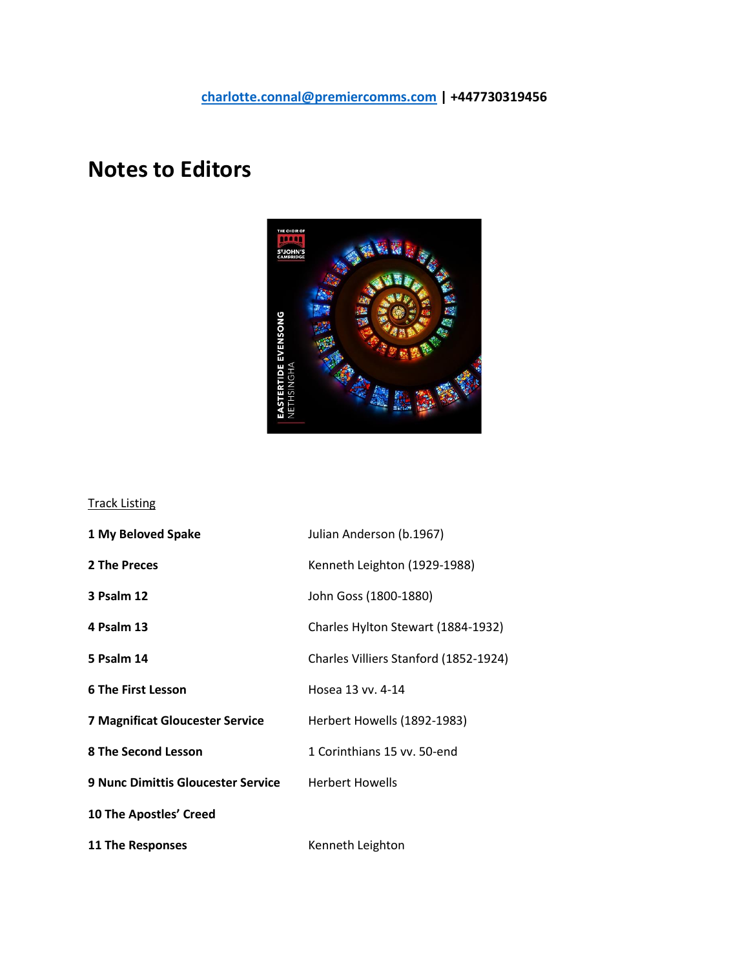# **Notes to Editors**



### Track Listing

| 1 My Beloved Spake                        | Julian Anderson (b.1967)              |
|-------------------------------------------|---------------------------------------|
| 2 The Preces                              | Kenneth Leighton (1929-1988)          |
| 3 Psalm 12                                | John Goss (1800-1880)                 |
| 4 Psalm 13                                | Charles Hylton Stewart (1884-1932)    |
| 5 Psalm 14                                | Charles Villiers Stanford (1852-1924) |
| <b>6 The First Lesson</b>                 | Hosea 13 vv. 4-14                     |
| <b>7 Magnificat Gloucester Service</b>    | Herbert Howells (1892-1983)           |
| 8 The Second Lesson                       | 1 Corinthians 15 vv. 50-end           |
| <b>9 Nunc Dimittis Gloucester Service</b> | <b>Herbert Howells</b>                |
| <b>10 The Apostles' Creed</b>             |                                       |
| 11 The Responses                          | Kenneth Leighton                      |